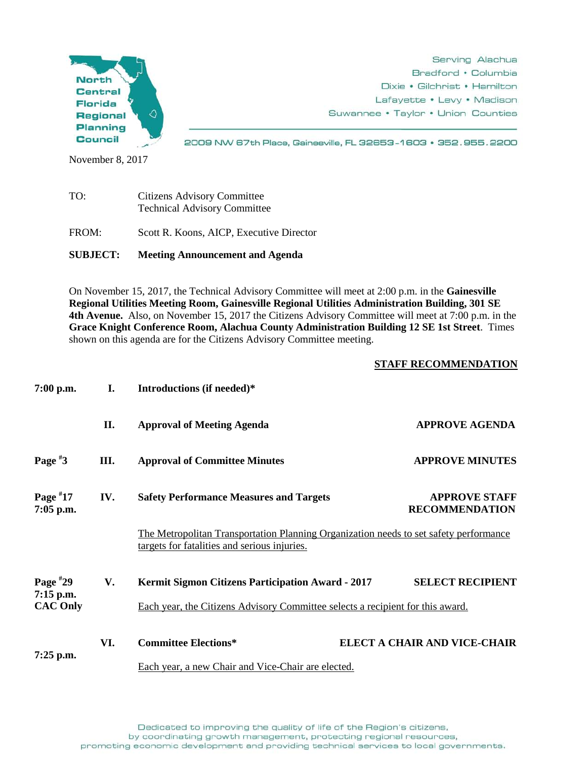

Serving Alachua Bradford • Columbia Dixie • Gilchrist • Hamilton Lafayette • Levy • Madison Suwannee • Taylor • Union Counties

2009 NW 67th Place, Gainesville, FL 32653-1603 · 352.955.2200

November 8, 2017

| TO:   | <b>Citizens Advisory Committee</b><br><b>Technical Advisory Committee</b> |
|-------|---------------------------------------------------------------------------|
| FROM: | Scott R. Koons, AICP, Executive Director                                  |

**SUBJECT: Meeting Announcement and Agenda**

On November 15, 2017, the Technical Advisory Committee will meet at 2:00 p.m. in the **Gainesville Regional Utilities Meeting Room, Gainesville Regional Utilities Administration Building, 301 SE 4th Avenue.** Also, on November 15, 2017 the Citizens Advisory Committee will meet at 7:00 p.m. in the **Grace Knight Conference Room, Alachua County Administration Building 12 SE 1st Street**. Times shown on this agenda are for the Citizens Advisory Committee meeting.

## **STAFF RECOMMENDATION**

| 7:00 p.m.                                  | I.  | Introductions (if needed)*                                                                                                                 |                                               |
|--------------------------------------------|-----|--------------------------------------------------------------------------------------------------------------------------------------------|-----------------------------------------------|
|                                            | П.  | <b>Approval of Meeting Agenda</b>                                                                                                          | <b>APPROVE AGENDA</b>                         |
| Page $*3$                                  | Ш.  | <b>Approval of Committee Minutes</b>                                                                                                       | <b>APPROVE MINUTES</b>                        |
| Page $*17$<br>7:05 p.m.                    | IV. | <b>Safety Performance Measures and Targets</b>                                                                                             | <b>APPROVE STAFF</b><br><b>RECOMMENDATION</b> |
|                                            |     | The Metropolitan Transportation Planning Organization needs to set safety performance<br>targets for fatalities and serious injuries.      |                                               |
| Page $*29$<br>7:15 p.m.<br><b>CAC Only</b> | V.  | <b>Kermit Sigmon Citizens Participation Award - 2017</b><br>Each year, the Citizens Advisory Committee selects a recipient for this award. | <b>SELECT RECIPIENT</b>                       |
| $7:25$ p.m.                                | VI. | <b>Committee Elections*</b><br>Each year, a new Chair and Vice-Chair are elected.                                                          | <b>ELECT A CHAIR AND VICE-CHAIR</b>           |